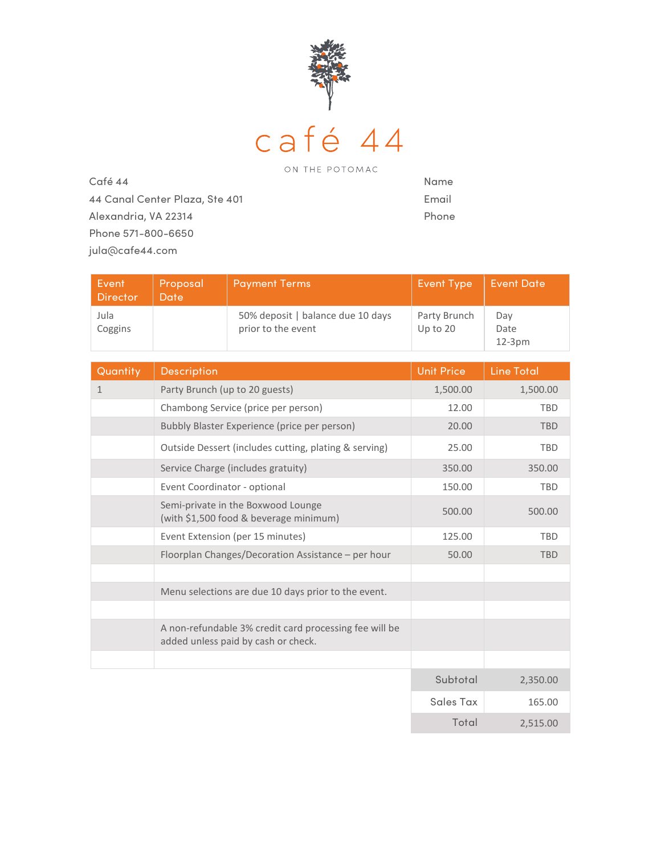

 Café 44 44 Canal Center Plaza, Ste 401 Alexandria, VA 22314 Phone 571-800-6650 jula@cafe44.com

Name Email Phone

| Event<br><b>Director</b> | Proposal<br><b>Date</b>                                                      | <b>Payment Terms</b>                                                                          | <b>Event Type</b>        | <b>Event Date</b>       |
|--------------------------|------------------------------------------------------------------------------|-----------------------------------------------------------------------------------------------|--------------------------|-------------------------|
| Jula<br>Coggins          |                                                                              | 50% deposit   balance due 10 days<br>prior to the event                                       | Party Brunch<br>Up to 20 | Day<br>Date<br>$12-3pm$ |
| Quantity                 | Description                                                                  |                                                                                               | <b>Unit Price</b>        | <b>Line Total</b>       |
| $\mathbf{1}$             | Party Brunch (up to 20 guests)                                               |                                                                                               | 1,500.00                 | 1,500.00                |
|                          | Chambong Service (price per person)                                          |                                                                                               | 12.00                    | <b>TBD</b>              |
|                          | Bubbly Blaster Experience (price per person)                                 |                                                                                               | 20.00                    | <b>TBD</b>              |
|                          | Outside Dessert (includes cutting, plating & serving)                        |                                                                                               | 25.00                    | <b>TBD</b>              |
|                          | Service Charge (includes gratuity)                                           |                                                                                               | 350.00                   | 350.00                  |
|                          | Event Coordinator - optional                                                 |                                                                                               | 150.00                   | <b>TBD</b>              |
|                          | Semi-private in the Boxwood Lounge<br>(with \$1,500 food & beverage minimum) |                                                                                               | 500.00                   | 500.00                  |
|                          | Event Extension (per 15 minutes)                                             |                                                                                               | 125.00                   | <b>TBD</b>              |
|                          | Floorplan Changes/Decoration Assistance - per hour                           |                                                                                               | 50.00                    | <b>TBD</b>              |
|                          |                                                                              |                                                                                               |                          |                         |
|                          | Menu selections are due 10 days prior to the event.                          |                                                                                               |                          |                         |
|                          |                                                                              |                                                                                               |                          |                         |
|                          |                                                                              | A non-refundable 3% credit card processing fee will be<br>added unless paid by cash or check. |                          |                         |
|                          |                                                                              |                                                                                               |                          |                         |
|                          |                                                                              |                                                                                               | Subtotal                 | 2,350.00                |
|                          |                                                                              |                                                                                               | <b>Sales Tax</b>         | 165.00                  |

Total 2,515.00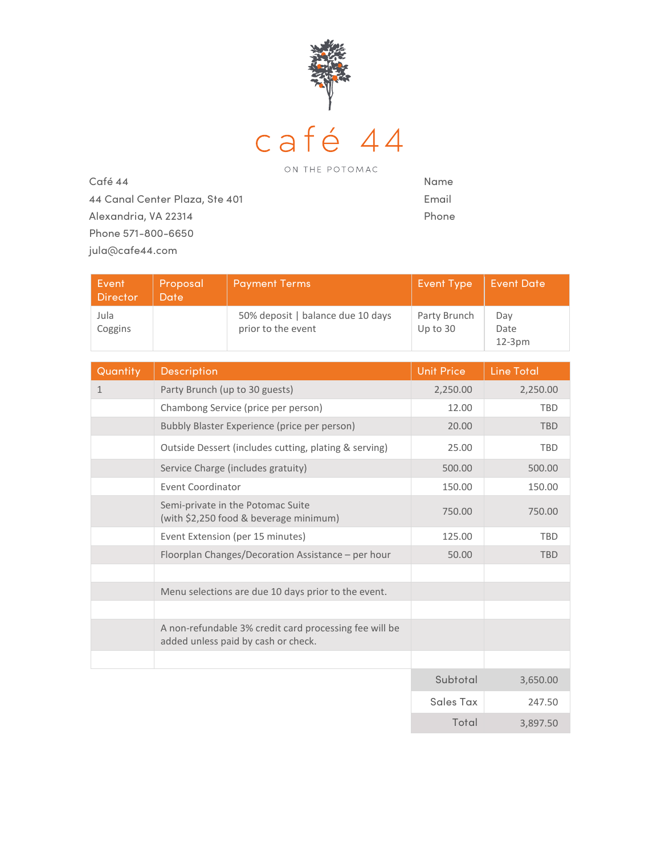

 Café 44 44 Canal Center Plaza, Ste 401 Alexandria, VA 22314 Phone 571-800-6650 jula@cafe44.com

Name Email Phone

Total 3,897.50

| Event<br><b>Director</b> | Proposal<br>Date                                                            | <b>Payment Terms</b>                                                                          | <b>Event Type</b>        | <b>Event Date</b>     |
|--------------------------|-----------------------------------------------------------------------------|-----------------------------------------------------------------------------------------------|--------------------------|-----------------------|
| Jula<br>Coggins          |                                                                             | 50% deposit   balance due 10 days<br>prior to the event                                       | Party Brunch<br>Up to 30 | Day<br>Date<br>12-3pm |
| Quantity                 | <b>Description</b>                                                          |                                                                                               | <b>Unit Price</b>        | <b>Line Total</b>     |
| $\mathbf{1}$             | Party Brunch (up to 30 guests)                                              |                                                                                               | 2,250.00                 | 2,250.00              |
|                          | Chambong Service (price per person)                                         |                                                                                               | 12.00                    | <b>TBD</b>            |
|                          | Bubbly Blaster Experience (price per person)                                |                                                                                               | 20.00                    | <b>TBD</b>            |
|                          | Outside Dessert (includes cutting, plating & serving)                       |                                                                                               | 25.00                    | <b>TBD</b>            |
|                          | Service Charge (includes gratuity)                                          |                                                                                               | 500.00                   | 500.00                |
|                          | <b>Event Coordinator</b>                                                    |                                                                                               | 150.00                   | 150.00                |
|                          | Semi-private in the Potomac Suite<br>(with \$2,250 food & beverage minimum) |                                                                                               | 750.00                   | 750.00                |
|                          | Event Extension (per 15 minutes)                                            |                                                                                               | 125.00                   | <b>TBD</b>            |
|                          | Floorplan Changes/Decoration Assistance - per hour                          |                                                                                               | 50.00                    | <b>TBD</b>            |
|                          |                                                                             |                                                                                               |                          |                       |
|                          | Menu selections are due 10 days prior to the event.                         |                                                                                               |                          |                       |
|                          |                                                                             |                                                                                               |                          |                       |
|                          |                                                                             | A non-refundable 3% credit card processing fee will be<br>added unless paid by cash or check. |                          |                       |
|                          |                                                                             |                                                                                               |                          |                       |
|                          |                                                                             |                                                                                               | Subtotal                 | 3,650.00              |
|                          |                                                                             |                                                                                               | <b>Sales Tax</b>         | 247.50                |